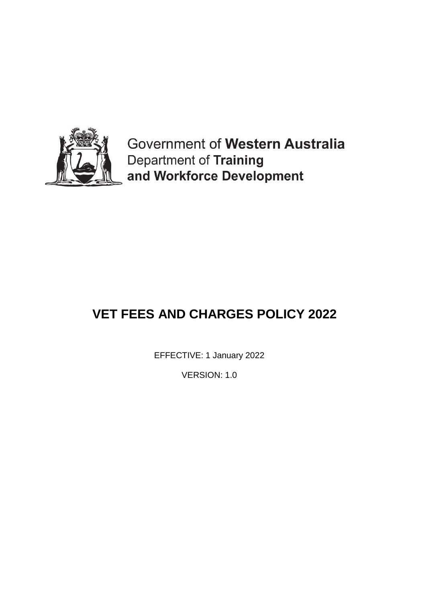

Government of Western Australia Department of Training and Workforce Development

# **VET FEES AND CHARGES POLICY 2022**

EFFECTIVE: 1 January 2022

VERSION: 1.0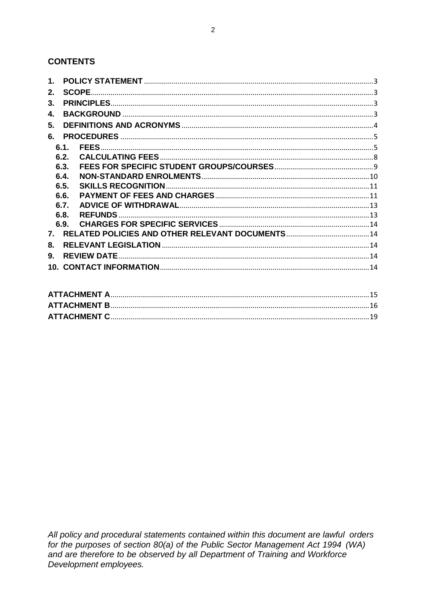#### **CONTENTS**

| $\mathbf{1}$ . |      |  |  |  |  |  |  |
|----------------|------|--|--|--|--|--|--|
| 2.             |      |  |  |  |  |  |  |
| 3.             |      |  |  |  |  |  |  |
| 4.             |      |  |  |  |  |  |  |
| 5.             |      |  |  |  |  |  |  |
| 6.             |      |  |  |  |  |  |  |
|                | 6.1. |  |  |  |  |  |  |
|                | 6.2. |  |  |  |  |  |  |
|                | 6.3. |  |  |  |  |  |  |
|                | 6.4. |  |  |  |  |  |  |
|                | 6.5. |  |  |  |  |  |  |
|                | 6.6. |  |  |  |  |  |  |
|                | 6.7. |  |  |  |  |  |  |
|                | 6.8. |  |  |  |  |  |  |
|                | 6.9. |  |  |  |  |  |  |
|                |      |  |  |  |  |  |  |
| 8.             |      |  |  |  |  |  |  |
| 9.             |      |  |  |  |  |  |  |
|                |      |  |  |  |  |  |  |
|                |      |  |  |  |  |  |  |

All policy and procedural statements contained within this document are lawful orders for the purposes of section 80(a) of the Public Sector Management Act 1994 (WA) and are therefore to be observed by all Department of Training and Workforce Development employees.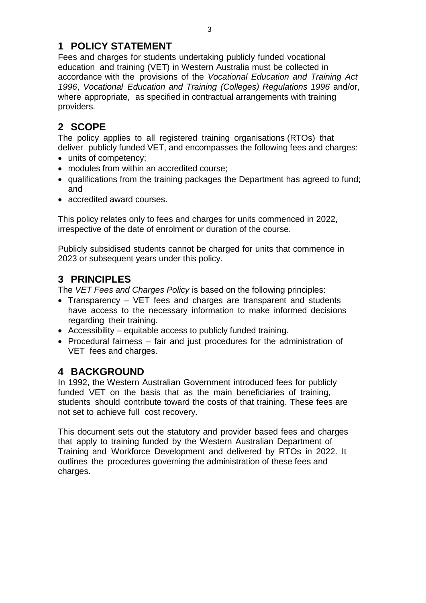## <span id="page-2-0"></span>**1 POLICY STATEMENT**

Fees and charges for students undertaking publicly funded vocational education and training (VET) in Western Australia must be collected in accordance with the provisions of the *Vocational Education and Training Act 1996*, *Vocational Education and Training (Colleges) Regulations 1996* and/or, where appropriate, as specified in contractual arrangements with training providers.

## <span id="page-2-1"></span>**2 SCOPE**

The policy applies to all registered training organisations (RTOs) that deliver publicly funded VET, and encompasses the following fees and charges:

- units of competency;
- modules from within an accredited course;
- qualifications from the training packages the Department has agreed to fund; and
- accredited award courses.

This policy relates only to fees and charges for units commenced in 2022, irrespective of the date of enrolment or duration of the course.

Publicly subsidised students cannot be charged for units that commence in 2023 or subsequent years under this policy.

## <span id="page-2-2"></span>**3 PRINCIPLES**

The *VET Fees and Charges Policy* is based on the following principles:

- Transparency VET fees and charges are transparent and students have access to the necessary information to make informed decisions regarding their training.
- Accessibility equitable access to publicly funded training.
- Procedural fairness fair and just procedures for the administration of VET fees and charges.

## <span id="page-2-3"></span>**4 BACKGROUND**

In 1992, the Western Australian Government introduced fees for publicly funded VET on the basis that as the main beneficiaries of training, students should contribute toward the costs of that training. These fees are not set to achieve full cost recovery.

This document sets out the statutory and provider based fees and charges that apply to training funded by the Western Australian Department of Training and Workforce Development and delivered by RTOs in 2022. It outlines the procedures governing the administration of these fees and charges.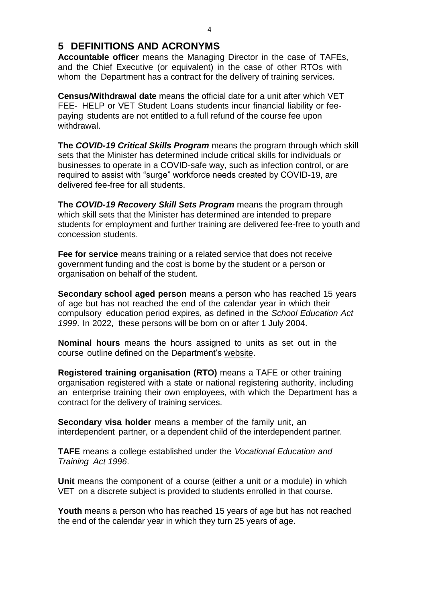### <span id="page-3-0"></span>**5 DEFINITIONS AND ACRONYMS**

**Accountable officer** means the Managing Director in the case of TAFEs, and the Chief Executive (or equivalent) in the case of other RTOs with whom the Department has a contract for the delivery of training services.

**Census/Withdrawal date** means the official date for a unit after which VET FEE- HELP or VET Student Loans students incur financial liability or feepaying students are not entitled to a full refund of the course fee upon withdrawal.

**The** *COVID-19 Critical Skills Program* means the program through which skill sets that the Minister has determined include critical skills for individuals or businesses to operate in a COVID-safe way, such as infection control, or are required to assist with "surge" workforce needs created by COVID-19, are delivered fee-free for all students.

**The** *COVID-19 Recovery Skill Sets Program* means the program through which skill sets that the Minister has determined are intended to prepare students for employment and further training are delivered fee-free to youth and concession students.

**Fee for service** means training or a related service that does not receive government funding and the cost is borne by the student or a person or organisation on behalf of the student.

**Secondary school aged person** means a person who has reached 15 years of age but has not reached the end of the calendar year in which their compulsory education period expires, as defined in the *School Education Act 1999*. In 2022, these persons will be born on or after 1 July 2004.

**Nominal hours** means the hours assigned to units as set out in the course outline defined on the Department's [website.](http://www.dtwd.wa.gov.au/wa-nominal-hours-guides)

**Registered training organisation (RTO)** means a TAFE or other training organisation registered with a state or national registering authority, including an enterprise training their own employees, with which the Department has a contract for the delivery of training services.

**Secondary visa holder** means a member of the family unit, an interdependent partner, or a dependent child of the interdependent partner.

**TAFE** means a college established under the *Vocational Education and Training Act 1996*.

**Unit** means the component of a course (either a unit or a module) in which VET on a discrete subject is provided to students enrolled in that course.

**Youth** means a person who has reached 15 years of age but has not reached the end of the calendar year in which they turn 25 years of age.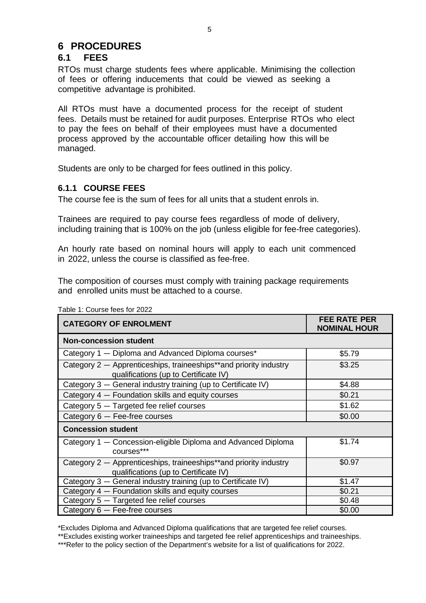## <span id="page-4-0"></span>**6 PROCEDURES**

#### <span id="page-4-1"></span>**6.1 FEES**

RTOs must charge students fees where applicable. Minimising the collection of fees or offering inducements that could be viewed as seeking a competitive advantage is prohibited.

All RTOs must have a documented process for the receipt of student fees. Details must be retained for audit purposes. Enterprise RTOs who elect to pay the fees on behalf of their employees must have a documented process approved by the accountable officer detailing how this will be managed.

Students are only to be charged for fees outlined in this policy.

#### **6.1.1 COURSE FEES**

The course fee is the sum of fees for all units that a student enrols in.

Trainees are required to pay course fees regardless of mode of delivery, including training that is 100% on the job (unless eligible for fee-free categories).

An hourly rate based on nominal hours will apply to each unit commenced in 2022, unless the course is classified as fee-free.

The composition of courses must comply with training package requirements and enrolled units must be attached to a course.

| <b>CATEGORY OF ENROLMENT</b>                                                                               | <b>FEE RATE PER</b><br><b>NOMINAL HOUR</b> |  |  |  |
|------------------------------------------------------------------------------------------------------------|--------------------------------------------|--|--|--|
| <b>Non-concession student</b>                                                                              |                                            |  |  |  |
| Category 1 - Diploma and Advanced Diploma courses*                                                         | \$5.79                                     |  |  |  |
| Category 2 - Apprenticeships, traineeships**and priority industry<br>qualifications (up to Certificate IV) | \$3.25                                     |  |  |  |
| Category 3 - General industry training (up to Certificate IV)                                              | \$4.88                                     |  |  |  |
| Category 4 – Foundation skills and equity courses                                                          | \$0.21                                     |  |  |  |
| Category 5 - Targeted fee relief courses                                                                   | \$1.62                                     |  |  |  |
| Category 6 - Fee-free courses                                                                              | \$0.00                                     |  |  |  |
| <b>Concession student</b>                                                                                  |                                            |  |  |  |
| Category 1 - Concession-eligible Diploma and Advanced Diploma<br>courses***                                | \$1.74                                     |  |  |  |
| Category 2 – Apprenticeships, traineeships**and priority industry<br>qualifications (up to Certificate IV) | \$0.97                                     |  |  |  |
| Category 3 - General industry training (up to Certificate IV)                                              | \$1.47                                     |  |  |  |
| Category 4 – Foundation skills and equity courses                                                          | \$0.21                                     |  |  |  |
| Category 5 - Targeted fee relief courses                                                                   | \$0.48                                     |  |  |  |
| Category 6 - Fee-free courses                                                                              | \$0.00                                     |  |  |  |

Table 1: Course fees for 2022

\*Excludes Diploma and Advanced Diploma qualifications that are targeted fee relief courses.

\*\*Excludes existing worker traineeships and targeted fee relief apprenticeships and traineeships.

\*\*\*Refer to the policy section of the Department's website for a list of qualifications for 2022.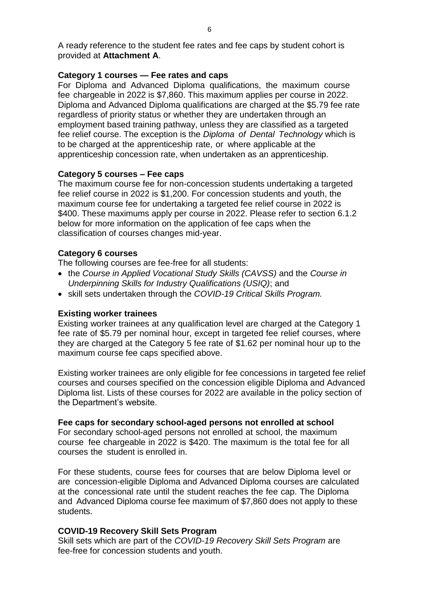A ready reference to the student fee rates and fee caps by student cohort is provided at **Attachment A**.

#### **Category 1 courses — Fee rates and caps**

For Diploma and Advanced Diploma qualifications, the maximum course fee chargeable in 2022 is \$7,860. This maximum applies per course in 2022. Diploma and Advanced Diploma qualifications are charged at the \$5.79 fee rate regardless of priority status or whether they are undertaken through an employment based training pathway, unless they are classified as a targeted fee relief course. The exception is the *Diploma of Dental Technology* which is to be charged at the apprenticeship rate, or where applicable at the apprenticeship concession rate, when undertaken as an apprenticeship.

#### **Category 5 courses – Fee caps**

The maximum course fee for non-concession students undertaking a targeted fee relief course in 2022 is \$1,200. For concession students and youth, the maximum course fee for undertaking a targeted fee relief course in 2022 is \$400. These maximums apply per course in 2022. Please refer to section 6.1.2 below for more information on the application of fee caps when the classification of courses changes mid-year.

#### **Category 6 courses**

The following courses are fee-free for all students:

- the *Course in Applied Vocational Study Skills (CAVSS)* and the *Course in Underpinning Skills for Industry Qualifications (USIQ)*; and
- skill sets undertaken through the *COVID-19 Critical Skills Program.*

#### **Existing worker trainees**

Existing worker trainees at any qualification level are charged at the Category 1 fee rate of \$5.79 per nominal hour, except in targeted fee relief courses, where they are charged at the Category 5 fee rate of \$1.62 per nominal hour up to the maximum course fee caps specified above.

Existing worker trainees are only eligible for fee concessions in targeted fee relief courses and courses specified on the concession eligible Diploma and Advanced Diploma list. Lists of these courses for 2022 are available in the policy section of the Department's website.

#### **Fee caps for secondary school-aged persons not enrolled at school**

For secondary school-aged persons not enrolled at school, the maximum course fee chargeable in 2022 is \$420. The maximum is the total fee for all courses the student is enrolled in.

For these students, course fees for courses that are below Diploma level or are concession-eligible Diploma and Advanced Diploma courses are calculated at the concessional rate until the student reaches the fee cap. The Diploma and Advanced Diploma course fee maximum of \$7,860 does not apply to these students.

#### **COVID-19 Recovery Skill Sets Program**

Skill sets which are part of the *COVID-19 Recovery Skill Sets Program* are fee-free for concession students and youth.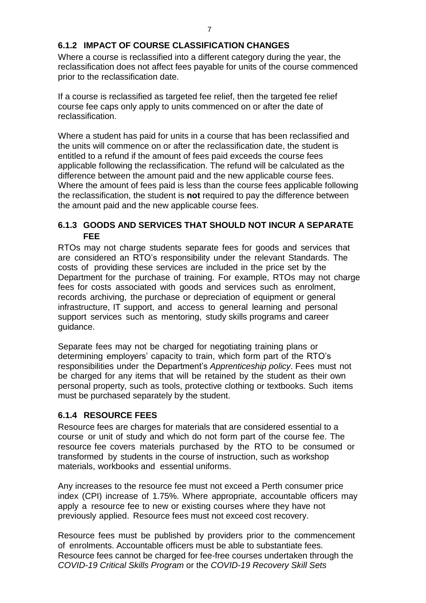#### **6.1.2 IMPACT OF COURSE CLASSIFICATION CHANGES**

Where a course is reclassified into a different category during the year, the reclassification does not affect fees payable for units of the course commenced prior to the reclassification date.

If a course is reclassified as targeted fee relief, then the targeted fee relief course fee caps only apply to units commenced on or after the date of reclassification.

Where a student has paid for units in a course that has been reclassified and the units will commence on or after the reclassification date, the student is entitled to a refund if the amount of fees paid exceeds the course fees applicable following the reclassification. The refund will be calculated as the difference between the amount paid and the new applicable course fees. Where the amount of fees paid is less than the course fees applicable following the reclassification, the student is **not** required to pay the difference between the amount paid and the new applicable course fees.

#### **6.1.3 GOODS AND SERVICES THAT SHOULD NOT INCUR A SEPARATE FEE**

RTOs may not charge students separate fees for goods and services that are considered an RTO's responsibility under the relevant Standards. The costs of providing these services are included in the price set by the Department for the purchase of training. For example, RTOs may not charge fees for costs associated with goods and services such as enrolment, records archiving, the purchase or depreciation of equipment or general infrastructure, IT support, and access to general learning and personal support services such as mentoring, study skills programs and career guidance.

Separate fees may not be charged for negotiating training plans or determining employers' capacity to train, which form part of the RTO's responsibilities under the Department's *Apprenticeship policy*. Fees must not be charged for any items that will be retained by the student as their own personal property, such as tools, protective clothing or textbooks. Such items must be purchased separately by the student.

#### **6.1.4 RESOURCE FEES**

Resource fees are charges for materials that are considered essential to a course or unit of study and which do not form part of the course fee. The resource fee covers materials purchased by the RTO to be consumed or transformed by students in the course of instruction, such as workshop materials, workbooks and essential uniforms.

Any increases to the resource fee must not exceed a Perth consumer price index (CPI) increase of 1.75%. Where appropriate, accountable officers may apply a resource fee to new or existing courses where they have not previously applied. Resource fees must not exceed cost recovery.

Resource fees must be published by providers prior to the commencement of enrolments. Accountable officers must be able to substantiate fees. Resource fees cannot be charged for fee-free courses undertaken through the *COVID-19 Critical Skills Program* or the *COVID-19 Recovery Skill Sets*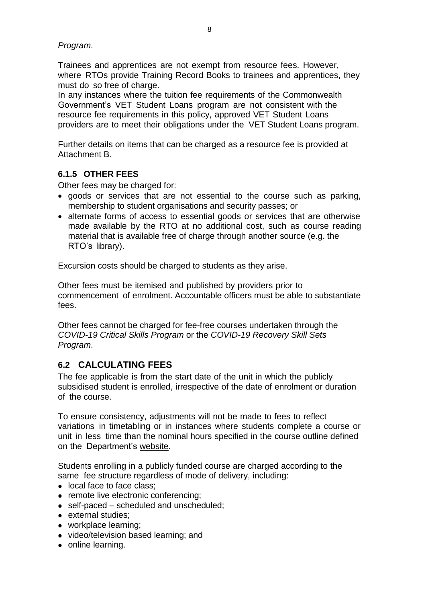Trainees and apprentices are not exempt from resource fees. However, where RTOs provide Training Record Books to trainees and apprentices, they must do so free of charge.

In any instances where the tuition fee requirements of the Commonwealth Government's VET Student Loans program are not consistent with the resource fee requirements in this policy, approved VET Student Loans providers are to meet their obligations under the VET Student Loans program.

Further details on items that can be charged as a resource fee is provided at Attachment B.

### **6.1.5 OTHER FEES**

Other fees may be charged for:

- goods or services that are not essential to the course such as parking, membership to student organisations and security passes; or
- alternate forms of access to essential goods or services that are otherwise made available by the RTO at no additional cost, such as course reading material that is available free of charge through another source (e.g. the RTO's library).

Excursion costs should be charged to students as they arise.

Other fees must be itemised and published by providers prior to commencement of enrolment. Accountable officers must be able to substantiate fees.

Other fees cannot be charged for fee-free courses undertaken through the *COVID-19 Critical Skills Program* or the *COVID-19 Recovery Skill Sets Program*.

### <span id="page-7-0"></span>**6.2 CALCULATING FEES**

The fee applicable is from the start date of the unit in which the publicly subsidised student is enrolled, irrespective of the date of enrolment or duration of the course.

To ensure consistency, adjustments will not be made to fees to reflect variations in timetabling or in instances where students complete a course or unit in less time than the nominal hours specified in the course outline defined on the Department's [website.](http://www.dtwd.wa.gov.au/wa-nominal-hours-guides)

Students enrolling in a publicly funded course are charged according to the same fee structure regardless of mode of delivery, including:

- local face to face class:
- remote live electronic conferencing;
- self-paced scheduled and unscheduled;
- external studies;
- workplace learning;
- video/television based learning; and
- online learning.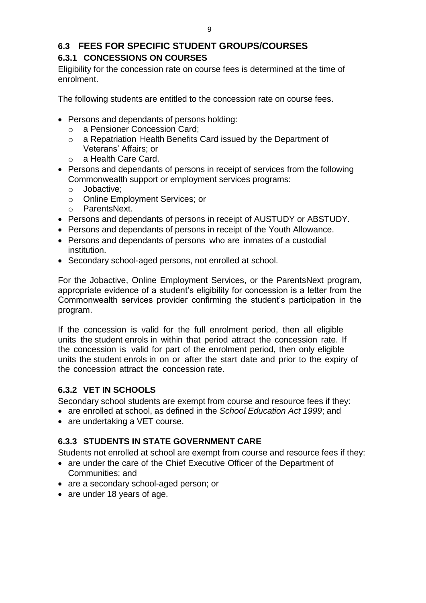## <span id="page-8-0"></span>**6.3 FEES FOR SPECIFIC STUDENT GROUPS/COURSES**

## **6.3.1 CONCESSIONS ON COURSES**

Eligibility for the concession rate on course fees is determined at the time of enrolment.

The following students are entitled to the concession rate on course fees.

- Persons and dependants of persons holding:
	- o a Pensioner Concession Card;
	- o a Repatriation Health Benefits Card issued by the Department of Veterans' Affairs; or
	- o a Health Care Card.
- Persons and dependants of persons in receipt of services from the following Commonwealth support or employment services programs:
	- o Jobactive;
	- o Online Employment Services; or
	- o ParentsNext.
- Persons and dependants of persons in receipt of AUSTUDY or ABSTUDY.
- Persons and dependants of persons in receipt of the Youth Allowance.
- Persons and dependants of persons who are inmates of a custodial institution.
- Secondary school-aged persons, not enrolled at school.

For the Jobactive, Online Employment Services, or the ParentsNext program, appropriate evidence of a student's eligibility for concession is a letter from the Commonwealth services provider confirming the student's participation in the program.

If the concession is valid for the full enrolment period, then all eligible units the student enrols in within that period attract the concession rate. If the concession is valid for part of the enrolment period, then only eligible units the student enrols in on or after the start date and prior to the expiry of the concession attract the concession rate.

### **6.3.2 VET IN SCHOOLS**

Secondary school students are exempt from course and resource fees if they:

- are enrolled at school, as defined in the *School Education Act 1999*; and
- are undertaking a VET course.

## **6.3.3 STUDENTS IN STATE GOVERNMENT CARE**

Students not enrolled at school are exempt from course and resource fees if they:

- are under the care of the Chief Executive Officer of the Department of Communities; and
- are a secondary school-aged person; or
- are under 18 years of age.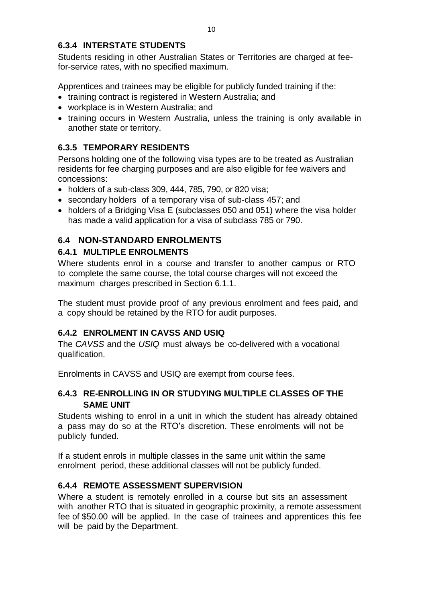#### **6.3.4 INTERSTATE STUDENTS**

Students residing in other Australian States or Territories are charged at feefor-service rates, with no specified maximum.

Apprentices and trainees may be eligible for publicly funded training if the:

- training contract is registered in Western Australia; and
- workplace is in Western Australia; and
- training occurs in Western Australia, unless the training is only available in another state or territory.

### **6.3.5 TEMPORARY RESIDENTS**

Persons holding one of the following visa types are to be treated as Australian residents for fee charging purposes and are also eligible for fee waivers and concessions:

- $\bullet$  holders of a sub-class 309, 444, 785, 790, or 820 visa;
- secondary holders of a temporary visa of sub-class 457; and
- holders of a Bridging Visa E (subclasses 050 and 051) where the visa holder has made a valid application for a visa of subclass 785 or 790.

## <span id="page-9-0"></span>**6.4 NON-STANDARD ENROLMENTS**

### **6.4.1 MULTIPLE ENROLMENTS**

Where students enrol in a course and transfer to another campus or RTO to complete the same course, the total course charges will not exceed the maximum charges prescribed in Section 6.1.1.

The student must provide proof of any previous enrolment and fees paid, and a copy should be retained by the RTO for audit purposes.

### **6.4.2 ENROLMENT IN CAVSS AND USIQ**

The *CAVSS* and the *USIQ* must always be co-delivered with a vocational qualification.

Enrolments in CAVSS and USIQ are exempt from course fees.

### **6.4.3 RE-ENROLLING IN OR STUDYING MULTIPLE CLASSES OF THE SAME UNIT**

Students wishing to enrol in a unit in which the student has already obtained a pass may do so at the RTO's discretion. These enrolments will not be publicly funded.

If a student enrols in multiple classes in the same unit within the same enrolment period, these additional classes will not be publicly funded.

### **6.4.4 REMOTE ASSESSMENT SUPERVISION**

Where a student is remotely enrolled in a course but sits an assessment with another RTO that is situated in geographic proximity, a remote assessment fee of \$50.00 will be applied. In the case of trainees and apprentices this fee will be paid by the Department.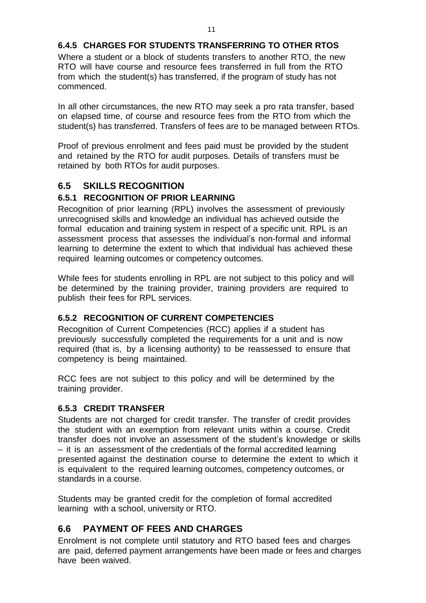#### **6.4.5 CHARGES FOR STUDENTS TRANSFERRING TO OTHER RTOS**

Where a student or a block of students transfers to another RTO, the new RTO will have course and resource fees transferred in full from the RTO from which the student(s) has transferred, if the program of study has not commenced.

In all other circumstances, the new RTO may seek a pro rata transfer, based on elapsed time, of course and resource fees from the RTO from which the student(s) has transferred. Transfers of fees are to be managed between RTOs.

Proof of previous enrolment and fees paid must be provided by the student and retained by the RTO for audit purposes. Details of transfers must be retained by both RTOs for audit purposes.

### <span id="page-10-0"></span>**6.5 SKILLS RECOGNITION**

#### **6.5.1 RECOGNITION OF PRIOR LEARNING**

Recognition of prior learning (RPL) involves the assessment of previously unrecognised skills and knowledge an individual has achieved outside the formal education and training system in respect of a specific unit. RPL is an assessment process that assesses the individual's non-formal and informal learning to determine the extent to which that individual has achieved these required learning outcomes or competency outcomes.

While fees for students enrolling in RPL are not subject to this policy and will be determined by the training provider, training providers are required to publish their fees for RPL services.

#### **6.5.2 RECOGNITION OF CURRENT COMPETENCIES**

Recognition of Current Competencies (RCC) applies if a student has previously successfully completed the requirements for a unit and is now required (that is, by a licensing authority) to be reassessed to ensure that competency is being maintained.

RCC fees are not subject to this policy and will be determined by the training provider.

#### **6.5.3 CREDIT TRANSFER**

Students are not charged for credit transfer. The transfer of credit provides the student with an exemption from relevant units within a course. Credit transfer does not involve an assessment of the student's knowledge or skills – it is an assessment of the credentials of the formal accredited learning presented against the destination course to determine the extent to which it is equivalent to the required learning outcomes, competency outcomes, or standards in a course.

Students may be granted credit for the completion of formal accredited learning with a school, university or RTO.

#### <span id="page-10-1"></span>**6.6 PAYMENT OF FEES AND CHARGES**

Enrolment is not complete until statutory and RTO based fees and charges are paid, deferred payment arrangements have been made or fees and charges have been waived.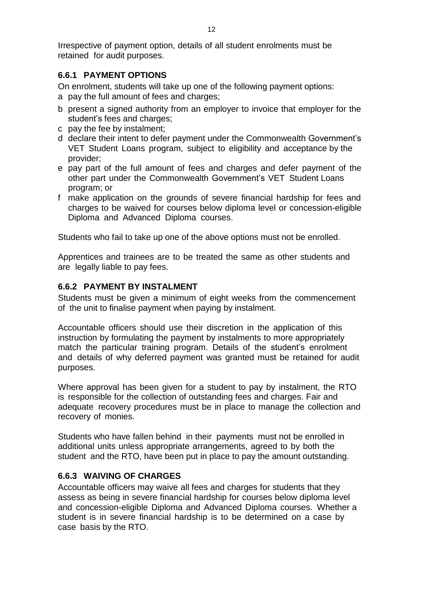#### **6.6.1 PAYMENT OPTIONS**

On enrolment, students will take up one of the following payment options: a pay the full amount of fees and charges;

- b present a signed authority from an employer to invoice that employer for the student's fees and charges;
- c pay the fee by instalment;
- d declare their intent to defer payment under the Commonwealth Government's VET Student Loans program, subject to eligibility and acceptance by the provider;
- e pay part of the full amount of fees and charges and defer payment of the other part under the Commonwealth Government's VET Student Loans program; or
- f make application on the grounds of severe financial hardship for fees and charges to be waived for courses below diploma level or concession-eligible Diploma and Advanced Diploma courses.

Students who fail to take up one of the above options must not be enrolled.

Apprentices and trainees are to be treated the same as other students and are legally liable to pay fees.

#### **6.6.2 PAYMENT BY INSTALMENT**

Students must be given a minimum of eight weeks from the commencement of the unit to finalise payment when paying by instalment.

Accountable officers should use their discretion in the application of this instruction by formulating the payment by instalments to more appropriately match the particular training program. Details of the student's enrolment and details of why deferred payment was granted must be retained for audit purposes.

Where approval has been given for a student to pay by instalment, the RTO is responsible for the collection of outstanding fees and charges. Fair and adequate recovery procedures must be in place to manage the collection and recovery of monies.

Students who have fallen behind in their payments must not be enrolled in additional units unless appropriate arrangements, agreed to by both the student and the RTO, have been put in place to pay the amount outstanding.

#### **6.6.3 WAIVING OF CHARGES**

Accountable officers may waive all fees and charges for students that they assess as being in severe financial hardship for courses below diploma level and concession-eligible Diploma and Advanced Diploma courses. Whether a student is in severe financial hardship is to be determined on a case by case basis by the RTO.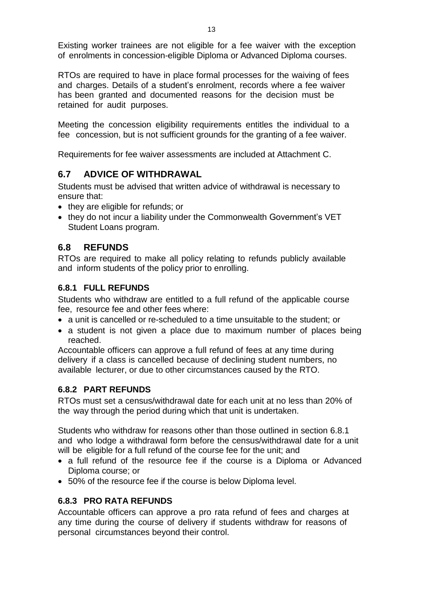Existing worker trainees are not eligible for a fee waiver with the exception of enrolments in concession-eligible Diploma or Advanced Diploma courses.

RTOs are required to have in place formal processes for the waiving of fees and charges. Details of a student's enrolment, records where a fee waiver has been granted and documented reasons for the decision must be retained for audit purposes.

Meeting the concession eligibility requirements entitles the individual to a fee concession, but is not sufficient grounds for the granting of a fee waiver.

Requirements for fee waiver assessments are included at Attachment C.

### <span id="page-12-0"></span>**6.7 ADVICE OF WITHDRAWAL**

Students must be advised that written advice of withdrawal is necessary to ensure that:

- they are eligible for refunds; or
- they do not incur a liability under the Commonwealth Government's VET Student Loans program.

### <span id="page-12-1"></span>**6.8 REFUNDS**

RTOs are required to make all policy relating to refunds publicly available and inform students of the policy prior to enrolling.

#### **6.8.1 FULL REFUNDS**

Students who withdraw are entitled to a full refund of the applicable course fee, resource fee and other fees where:

- a unit is cancelled or re-scheduled to a time unsuitable to the student; or
- a student is not given a place due to maximum number of places being reached.

Accountable officers can approve a full refund of fees at any time during delivery if a class is cancelled because of declining student numbers, no available lecturer, or due to other circumstances caused by the RTO.

#### **6.8.2 PART REFUNDS**

RTOs must set a census/withdrawal date for each unit at no less than 20% of the way through the period during which that unit is undertaken.

Students who withdraw for reasons other than those outlined in section 6.8.1 and who lodge a withdrawal form before the census/withdrawal date for a unit will be eligible for a full refund of the course fee for the unit; and

- a full refund of the resource fee if the course is a Diploma or Advanced Diploma course; or
- 50% of the resource fee if the course is below Diploma level.

#### **6.8.3 PRO RATA REFUNDS**

Accountable officers can approve a pro rata refund of fees and charges at any time during the course of delivery if students withdraw for reasons of personal circumstances beyond their control.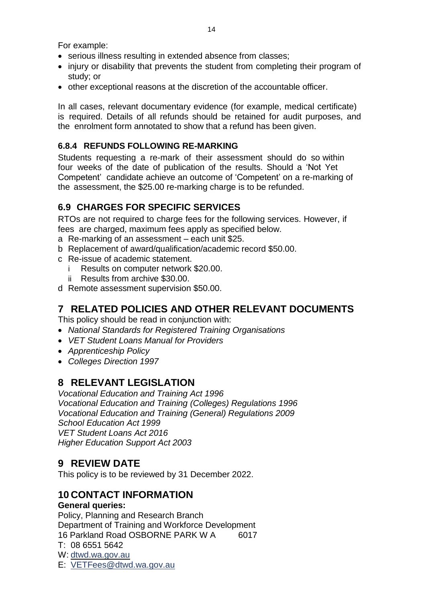For example:

- serious illness resulting in extended absence from classes;
- injury or disability that prevents the student from completing their program of study; or
- other exceptional reasons at the discretion of the accountable officer.

In all cases, relevant documentary evidence (for example, medical certificate) is required. Details of all refunds should be retained for audit purposes, and the enrolment form annotated to show that a refund has been given.

#### **6.8.4 REFUNDS FOLLOWING RE-MARKING**

Students requesting a re-mark of their assessment should do so within four weeks of the date of publication of the results. Should a 'Not Yet Competent' candidate achieve an outcome of 'Competent' on a re-marking of the assessment, the \$25.00 re-marking charge is to be refunded.

### <span id="page-13-0"></span>**6.9 CHARGES FOR SPECIFIC SERVICES**

RTOs are not required to charge fees for the following services. However, if fees are charged, maximum fees apply as specified below.

- a Re-marking of an assessment each unit \$25.
- b Replacement of award/qualification/academic record \$50.00.
- c Re-issue of academic statement.
	- i Results on computer network \$20.00.
	- ii Results from archive \$30.00.
- d Remote assessment supervision \$50.00.

## <span id="page-13-1"></span>**7 RELATED POLICIES AND OTHER RELEVANT DOCUMENTS**

This policy should be read in conjunction with:

- *National Standards for Registered Training [Organisations](https://www.comlaw.gov.au/Details/F2014L01377)*
- *[VET Student Loans Manual](http://education.gov.au/help-resources-providers) for Providers*
- *[Apprenticeship](http://www.dtwd.wa.gov.au/dtwcorporateinfo/policiesandguidelines/Pages/default.aspx#toc2) Policy*
- *Colleges Direction 1997*

## <span id="page-13-2"></span>**8 RELEVANT LEGISLATION**

*Vocational Education and Training Act 1996 Vocational Education and Training (Colleges) Regulations 1996 Vocational Education and Training (General) Regulations 2009 School Education Act 1999 VET Student Loans Act 2016 Higher Education Support Act 2003*

## <span id="page-13-3"></span>**9 REVIEW DATE**

This policy is to be reviewed by 31 December 2022.

## <span id="page-13-4"></span>**10 CONTACT INFORMATION**

#### **General queries:**

Policy, Planning and Research Branch Department of Training and Workforce Development 16 Parkland Road OSBORNE PARK W A 6017 T: 08 6551 5642 W: [dtwd.wa.gov.au](http://www.dtwd.wa.gov.au/) E: [VETFees@dtwd.wa.gov.au](mailto:VETFees@dtwd.wa.gov.au)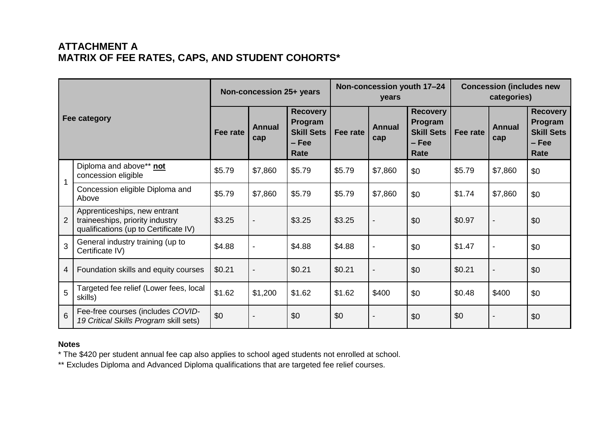## **ATTACHMENT A MATRIX OF FEE RATES, CAPS, AND STUDENT COHORTS\***

|                |                                                                                                          | Non-concession 25+ years |                          |                                                                  | Non-concession youth 17-24<br>years |                          |                                                                  | <b>Concession (includes new</b><br>categories) |                          |                                                                  |
|----------------|----------------------------------------------------------------------------------------------------------|--------------------------|--------------------------|------------------------------------------------------------------|-------------------------------------|--------------------------|------------------------------------------------------------------|------------------------------------------------|--------------------------|------------------------------------------------------------------|
| Fee category   |                                                                                                          | Fee rate                 | Annual<br>cap            | <b>Recovery</b><br>Program<br><b>Skill Sets</b><br>- Fee<br>Rate | Fee rate                            | <b>Annual</b><br>cap     | <b>Recovery</b><br>Program<br><b>Skill Sets</b><br>– Fee<br>Rate | Fee rate                                       | <b>Annual</b><br>cap     | <b>Recovery</b><br>Program<br><b>Skill Sets</b><br>- Fee<br>Rate |
|                | Diploma and above** not<br>concession eligible                                                           | \$5.79                   | \$7,860                  | \$5.79                                                           | \$5.79                              | \$7,860                  | \$0                                                              | \$5.79                                         | \$7,860                  | \$0                                                              |
|                | Concession eligible Diploma and<br>Above                                                                 | \$5.79                   | \$7,860                  | \$5.79                                                           | \$5.79                              | \$7,860                  | \$0                                                              | \$1.74                                         | \$7,860                  | \$0                                                              |
| $\overline{2}$ | Apprenticeships, new entrant<br>traineeships, priority industry<br>qualifications (up to Certificate IV) | \$3.25                   | $\blacksquare$           | \$3.25                                                           | \$3.25                              |                          | \$0                                                              | \$0.97                                         | $\overline{a}$           | \$0                                                              |
| 3              | General industry training (up to<br>Certificate IV)                                                      | \$4.88                   | $\blacksquare$           | \$4.88                                                           | \$4.88                              |                          | \$0                                                              | \$1.47                                         | $\blacksquare$           | \$0                                                              |
| 4              | Foundation skills and equity courses                                                                     | \$0.21                   | $\overline{\phantom{a}}$ | \$0.21                                                           | \$0.21                              | $\overline{\phantom{0}}$ | \$0                                                              | \$0.21                                         | $\overline{\phantom{a}}$ | \$0                                                              |
| 5              | Targeted fee relief (Lower fees, local<br>skills)                                                        | \$1.62                   | \$1,200                  | \$1.62                                                           | \$1.62                              | \$400                    | \$0                                                              | \$0.48                                         | \$400                    | \$0                                                              |
| 6              | Fee-free courses (includes COVID-<br>19 Critical Skills Program skill sets)                              | \$0                      |                          | \$0                                                              | \$0                                 |                          | \$0                                                              | \$0                                            | -                        | \$0                                                              |

#### <span id="page-14-0"></span>**Notes**

\* The \$420 per student annual fee cap also applies to school aged students not enrolled at school.

\*\* Excludes Diploma and Advanced Diploma qualifications that are targeted fee relief courses.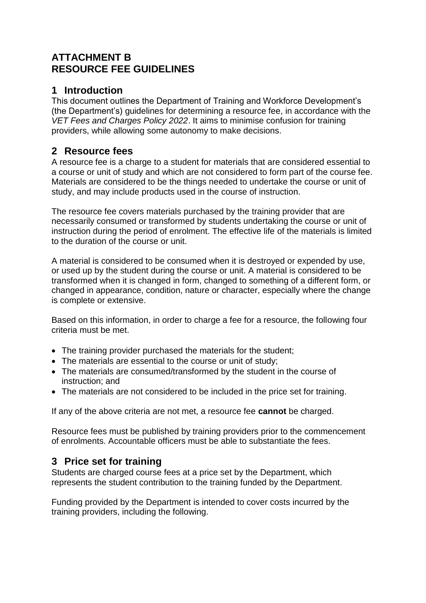## <span id="page-15-0"></span>**ATTACHMENT B RESOURCE FEE GUIDELINES**

### **1 Introduction**

This document outlines the Department of Training and Workforce Development's (the Department's) guidelines for determining a resource fee, in accordance with the *VET Fees and Charges Policy 2022*. It aims to minimise confusion for training providers, while allowing some autonomy to make decisions.

## **2 Resource fees**

A resource fee is a charge to a student for materials that are considered essential to a course or unit of study and which are not considered to form part of the course fee. Materials are considered to be the things needed to undertake the course or unit of study, and may include products used in the course of instruction.

The resource fee covers materials purchased by the training provider that are necessarily consumed or transformed by students undertaking the course or unit of instruction during the period of enrolment. The effective life of the materials is limited to the duration of the course or unit.

A material is considered to be consumed when it is destroyed or expended by use, or used up by the student during the course or unit. A material is considered to be transformed when it is changed in form, changed to something of a different form, or changed in appearance, condition, nature or character, especially where the change is complete or extensive.

Based on this information, in order to charge a fee for a resource, the following four criteria must be met.

- The training provider purchased the materials for the student;
- The materials are essential to the course or unit of study;
- The materials are consumed/transformed by the student in the course of instruction; and
- The materials are not considered to be included in the price set for training.

If any of the above criteria are not met, a resource fee **cannot** be charged.

Resource fees must be published by training providers prior to the commencement of enrolments. Accountable officers must be able to substantiate the fees.

## **3 Price set for training**

Students are charged course fees at a price set by the Department, which represents the student contribution to the training funded by the Department.

Funding provided by the Department is intended to cover costs incurred by the training providers, including the following.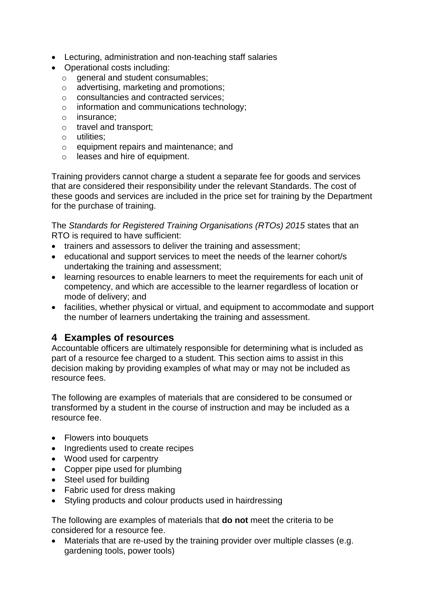- Lecturing, administration and non-teaching staff salaries
- Operational costs including:
	- $\circ$  general and student consumables;
	- o advertising, marketing and promotions;
	- o consultancies and contracted services;
	- o information and communications technology;
	- o insurance;
	- o travel and transport;
	- o utilities;
	- o equipment repairs and maintenance; and
	- o leases and hire of equipment.

Training providers cannot charge a student a separate fee for goods and services that are considered their responsibility under the relevant Standards. The cost of these goods and services are included in the price set for training by the Department for the purchase of training.

The *Standards for Registered Training Organisations (RTOs) 2015* states that an RTO is required to have sufficient:

- trainers and assessors to deliver the training and assessment;
- educational and support services to meet the needs of the learner cohort/s undertaking the training and assessment;
- learning resources to enable learners to meet the requirements for each unit of competency, and which are accessible to the learner regardless of location or mode of delivery; and
- facilities, whether physical or virtual, and equipment to accommodate and support the number of learners undertaking the training and assessment.

### **4 Examples of resources**

Accountable officers are ultimately responsible for determining what is included as part of a resource fee charged to a student. This section aims to assist in this decision making by providing examples of what may or may not be included as resource fees.

The following are examples of materials that are considered to be consumed or transformed by a student in the course of instruction and may be included as a resource fee.

- Flowers into bouquets
- Ingredients used to create recipes
- Wood used for carpentry
- Copper pipe used for plumbing
- Steel used for building
- Fabric used for dress making
- Styling products and colour products used in hairdressing

The following are examples of materials that **do not** meet the criteria to be considered for a resource fee.

 Materials that are re-used by the training provider over multiple classes (e.g. gardening tools, power tools)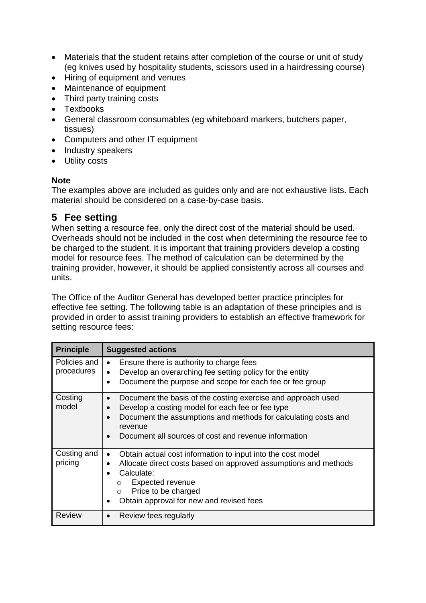- Materials that the student retains after completion of the course or unit of study (eg knives used by hospitality students, scissors used in a hairdressing course)
- Hiring of equipment and venues
- Maintenance of equipment
- Third party training costs
- Textbooks
- General classroom consumables (eg whiteboard markers, butchers paper, tissues)
- Computers and other IT equipment
- Industry speakers
- Utility costs

#### **Note**

The examples above are included as guides only and are not exhaustive lists. Each material should be considered on a case-by-case basis.

## **5 Fee setting**

When setting a resource fee, only the direct cost of the material should be used. Overheads should not be included in the cost when determining the resource fee to be charged to the student. It is important that training providers develop a costing model for resource fees. The method of calculation can be determined by the training provider, however, it should be applied consistently across all courses and units.

The Office of the Auditor General has developed better practice principles for effective fee setting. The following table is an adaptation of these principles and is provided in order to assist training providers to establish an effective framework for setting resource fees:

| <b>Principle</b>           | <b>Suggested actions</b>                                                                                                                                                                                                                                                                                  |  |  |  |  |  |
|----------------------------|-----------------------------------------------------------------------------------------------------------------------------------------------------------------------------------------------------------------------------------------------------------------------------------------------------------|--|--|--|--|--|
| Policies and<br>procedures | Ensure there is authority to charge fees<br>$\bullet$<br>Develop an overarching fee setting policy for the entity<br>$\bullet$<br>Document the purpose and scope for each fee or fee group                                                                                                                |  |  |  |  |  |
| Costing<br>model           | Document the basis of the costing exercise and approach used<br>$\bullet$<br>Develop a costing model for each fee or fee type<br>$\bullet$<br>Document the assumptions and methods for calculating costs and<br>$\bullet$<br>revenue<br>Document all sources of cost and revenue information<br>$\bullet$ |  |  |  |  |  |
| Costing and<br>pricing     | Obtain actual cost information to input into the cost model<br>$\bullet$<br>Allocate direct costs based on approved assumptions and methods<br>Calculate:<br>Expected revenue<br>$\circ$<br>Price to be charged<br>$\circ$<br>Obtain approval for new and revised fees                                    |  |  |  |  |  |
| Review                     | Review fees regularly<br>$\bullet$                                                                                                                                                                                                                                                                        |  |  |  |  |  |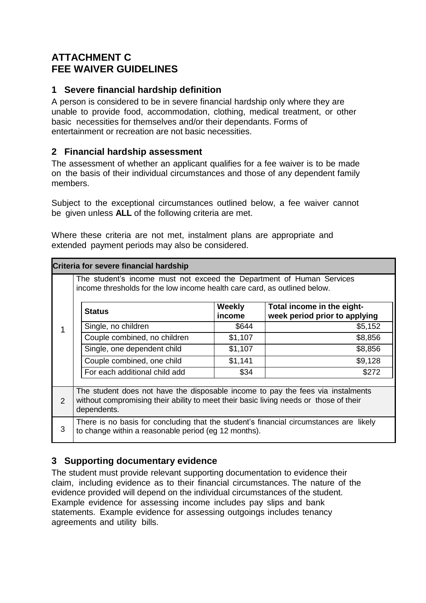## <span id="page-18-0"></span>**ATTACHMENT C FEE WAIVER GUIDELINES**

#### **1 Severe financial hardship definition**

A person is considered to be in severe financial hardship only where they are unable to provide food, accommodation, clothing, medical treatment, or other basic necessities for themselves and/or their dependants. Forms of entertainment or recreation are not basic necessities.

#### **2 Financial hardship assessment**

The assessment of whether an applicant qualifies for a fee waiver is to be made on the basis of their individual circumstances and those of any dependent family members.

Subject to the exceptional circumstances outlined below, a fee waiver cannot be given unless **ALL** of the following criteria are met.

Where these criteria are not met, instalment plans are appropriate and extended payment periods may also be considered.

| Criteria for severe financial hardship |                                                                                                                                                                                         |                         |                                                             |  |  |  |  |
|----------------------------------------|-----------------------------------------------------------------------------------------------------------------------------------------------------------------------------------------|-------------------------|-------------------------------------------------------------|--|--|--|--|
|                                        | The student's income must not exceed the Department of Human Services<br>income thresholds for the low income health care card, as outlined below.                                      |                         |                                                             |  |  |  |  |
|                                        | <b>Status</b>                                                                                                                                                                           | <b>Weekly</b><br>income | Total income in the eight-<br>week period prior to applying |  |  |  |  |
|                                        | Single, no children                                                                                                                                                                     | \$644                   | \$5,152                                                     |  |  |  |  |
|                                        | Couple combined, no children                                                                                                                                                            | \$1,107                 | \$8,856                                                     |  |  |  |  |
|                                        | Single, one dependent child                                                                                                                                                             | \$1,107                 | \$8,856                                                     |  |  |  |  |
|                                        | Couple combined, one child                                                                                                                                                              | \$1,141                 | \$9,128                                                     |  |  |  |  |
|                                        | For each additional child add                                                                                                                                                           | \$34                    | \$272                                                       |  |  |  |  |
|                                        |                                                                                                                                                                                         |                         |                                                             |  |  |  |  |
| 2                                      | The student does not have the disposable income to pay the fees via instalments<br>without compromising their ability to meet their basic living needs or those of their<br>dependents. |                         |                                                             |  |  |  |  |
| 3                                      | There is no basis for concluding that the student's financial circumstances are likely<br>to change within a reasonable period (eg 12 months).                                          |                         |                                                             |  |  |  |  |

### **3 Supporting documentary evidence**

The student must provide relevant supporting documentation to evidence their claim, including evidence as to their financial circumstances. The nature of the evidence provided will depend on the individual circumstances of the student. Example evidence for assessing income includes pay slips and bank statements. Example evidence for assessing outgoings includes tenancy agreements and utility bills.